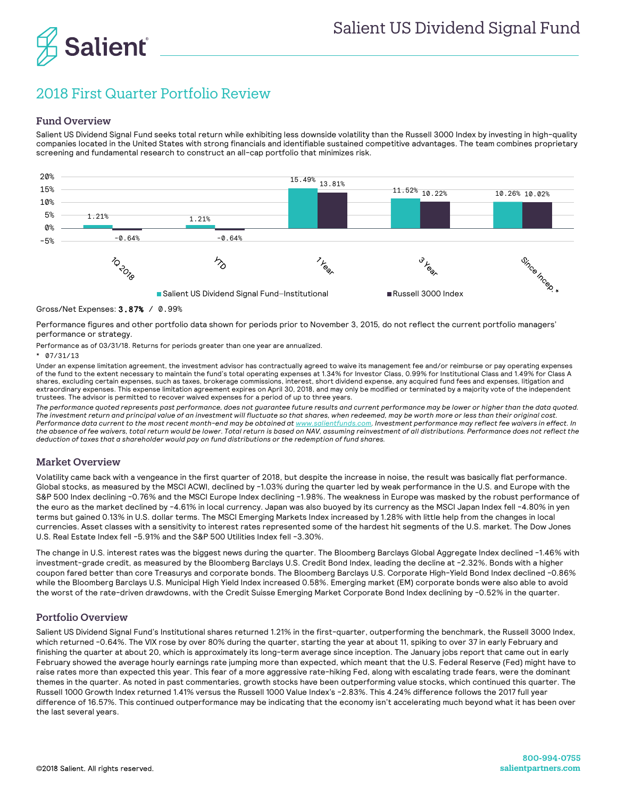

# 2018 First Quarter Portfolio Review

## Fund Overview

Salient US Dividend Signal Fund seeks total return while exhibiting less downside volatility than the Russell 3000 Index by investing in high-quality companies located in the United States with strong financials and identifiable sustained competitive advantages. The team combines proprietary screening and fundamental research to construct an all-cap portfolio that minimizes risk.



### Gross/Net Expenses: 3.87% / 0.99%

Performance figures and other portfolio data shown for periods prior to November 3, 2015*,* do not reflect the current portfolio managers' performance or strategy.

Performance as of 03/31/18. Returns for periods greater than one year are annualized.

#### \* 07/31/13

Under an expense limitation agreement, the investment advisor has contractually agreed to waive its management fee and/or reimburse or pay operating expenses of the fund to the extent necessary to maintain the fund's total operating expenses at 1.34% for Investor Class, 0.99% for Institutional Class and 1.49% for Class A shares, excluding certain expenses, such as taxes, brokerage commissions, interest, short dividend expense, any acquired fund fees and expenses, litigation and extraordinary expenses. This expense limitation agreement expires on April 30, 2018, and may only be modified or terminated by a majority vote of the independent trustees. The advisor is permitted to recover waived expenses for a period of up to three years.

*The performance quoted represents past performance, does not guarantee future results and current performance may be lower or higher than the data quoted. The investment return and principal value of an investment will fluctuate so that shares, when redeemed, may be worth more or less than their original cost.*  Performance data current to the most recent month-end may be obtained a[t www.salientfunds.com.](http://www.salientfunds.com/) Investment performance may reflect fee waivers in effect. In *the absence of fee waivers, total return would be lower. Total return is based on NAV, assuming reinvestment of all distributions. Performance does not reflect the deduction of taxes that a shareholder would pay on fund distributions or the redemption of fund shares.*

#### Market Overview

Volatility came back with a vengeance in the first quarter of 2018, but despite the increase in noise, the result was basically flat performance. Global stocks, as measured by the MSCI ACWI, declined by -1.03% during the quarter led by weak performance in the U.S. and Europe with the S&P 500 Index declining -0.76% and the MSCI Europe Index declining -1.98%. The weakness in Europe was masked by the robust performance of the euro as the market declined by -4.61% in local currency. Japan was also buoyed by its currency as the MSCI Japan Index fell -4.80% in yen terms but gained 0.13% in U.S. dollar terms. The MSCI Emerging Markets Index increased by 1.28% with little help from the changes in local currencies. Asset classes with a sensitivity to interest rates represented some of the hardest hit segments of the U.S. market. The Dow Jones U.S. Real Estate Index fell -5.91% and the S&P 500 Utilities Index fell -3.30%.

The change in U.S. interest rates was the biggest news during the quarter. The Bloomberg Barclays Global Aggregate Index declined -1.46% with investment-grade credit, as measured by the Bloomberg Barclays U.S. Credit Bond Index, leading the decline at -2.32%. Bonds with a higher coupon fared better than core Treasurys and corporate bonds. The Bloomberg Barclays U.S. Corporate High-Yield Bond Index declined -0.86% while the Bloomberg Barclays U.S. Municipal High Yield Index increased 0.58%. Emerging market (EM) corporate bonds were also able to avoid the worst of the rate-driven drawdowns, with the Credit Suisse Emerging Market Corporate Bond Index declining by -0.52% in the quarter.

## Portfolio Overview

Salient US Dividend Signal Fund's Institutional shares returned 1.21% in the first-quarter, outperforming the benchmark, the Russell 3000 Index, which returned -0.64%. The VIX rose by over 80% during the quarter, starting the year at about 11, spiking to over 37 in early February and finishing the quarter at about 20, which is approximately its long-term average since inception. The January jobs report that came out in early February showed the average hourly earnings rate jumping more than expected, which meant that the U.S. Federal Reserve (Fed) might have to raise rates more than expected this year. This fear of a more aggressive rate-hiking Fed, along with escalating trade fears, were the dominant themes in the quarter. As noted in past commentaries, growth stocks have been outperforming value stocks, which continued this quarter. The Russell 1000 Growth Index returned 1.41% versus the Russell 1000 Value Index's -2.83%. This 4.24% difference follows the 2017 full year difference of 16.57%. This continued outperformance may be indicating that the economy isn't accelerating much beyond what it has been over the last several years.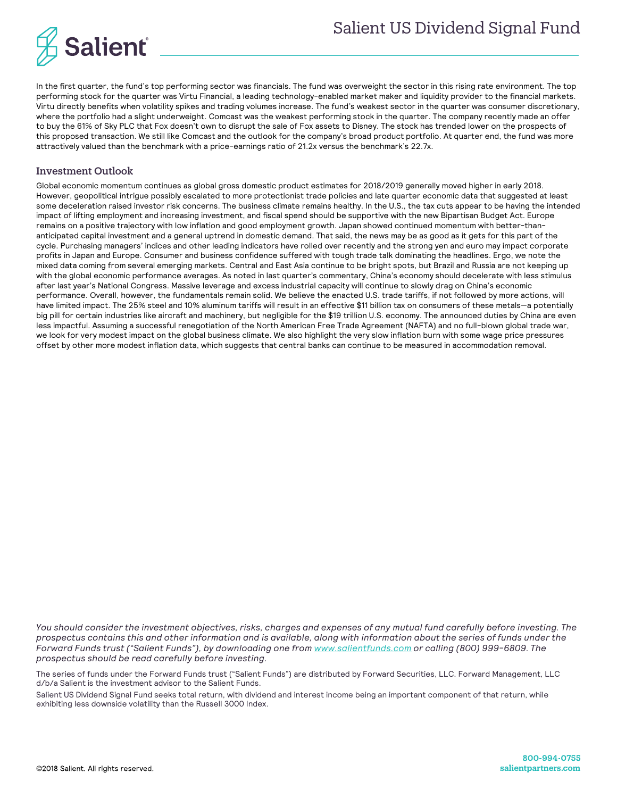

In the first quarter, the fund's top performing sector was financials. The fund was overweight the sector in this rising rate environment. The top performing stock for the quarter was Virtu Financial, a leading technology-enabled market maker and liquidity provider to the financial markets. Virtu directly benefits when volatility spikes and trading volumes increase. The fund's weakest sector in the quarter was consumer discretionary, where the portfolio had a slight underweight. Comcast was the weakest performing stock in the quarter. The company recently made an offer to buy the 61% of Sky PLC that Fox doesn't own to disrupt the sale of Fox assets to Disney. The stock has trended lower on the prospects of this proposed transaction. We still like Comcast and the outlook for the company's broad product portfolio. At quarter end, the fund was more attractively valued than the benchmark with a price-earnings ratio of 21.2x versus the benchmark's 22.7x.

# Investment Outlook

Global economic momentum continues as global gross domestic product estimates for 2018/2019 generally moved higher in early 2018. However, geopolitical intrigue possibly escalated to more protectionist trade policies and late quarter economic data that suggested at least some deceleration raised investor risk concerns. The business climate remains healthy. In the U.S., the tax cuts appear to be having the intended impact of lifting employment and increasing investment, and fiscal spend should be supportive with the new Bipartisan Budget Act. Europe remains on a positive trajectory with low inflation and good employment growth. Japan showed continued momentum with better-thananticipated capital investment and a general uptrend in domestic demand. That said, the news may be as good as it gets for this part of the cycle. Purchasing managers' indices and other leading indicators have rolled over recently and the strong yen and euro may impact corporate profits in Japan and Europe. Consumer and business confidence suffered with tough trade talk dominating the headlines. Ergo, we note the mixed data coming from several emerging markets. Central and East Asia continue to be bright spots, but Brazil and Russia are not keeping up with the global economic performance averages. As noted in last quarter's commentary, China's economy should decelerate with less stimulus after last year's National Congress. Massive leverage and excess industrial capacity will continue to slowly drag on China's economic performance. Overall, however, the fundamentals remain solid. We believe the enacted U.S. trade tariffs, if not followed by more actions, will have limited impact. The 25% steel and 10% aluminum tariffs will result in an effective \$11 billion tax on consumers of these metals—a potentially big pill for certain industries like aircraft and machinery, but negligible for the \$19 trillion U.S. economy. The announced duties by China are even less impactful. Assuming a successful renegotiation of the North American Free Trade Agreement (NAFTA) and no full-blown global trade war, we look for very modest impact on the global business climate. We also highlight the very slow inflation burn with some wage price pressures offset by other more modest inflation data, which suggests that central banks can continue to be measured in accommodation removal.

*You should consider the investment objectives, risks, charges and expenses of any mutual fund carefully before investing. The prospectus contains this and other information and is available, along with information about the series of funds under the Forward Funds trust ("Salient Funds"), by downloading one fro[m www.salientfunds.com](http://www.salientfunds.com/) or calling (800) 999-6809. The prospectus should be read carefully before investing.*

The series of funds under the Forward Funds trust ("Salient Funds") are distributed by Forward Securities, LLC. Forward Management, LLC d/b/a Salient is the investment advisor to the Salient Funds.

Salient US Dividend Signal Fund seeks total return, with dividend and interest income being an important component of that return, while exhibiting less downside volatility than the Russell 3000 Index.